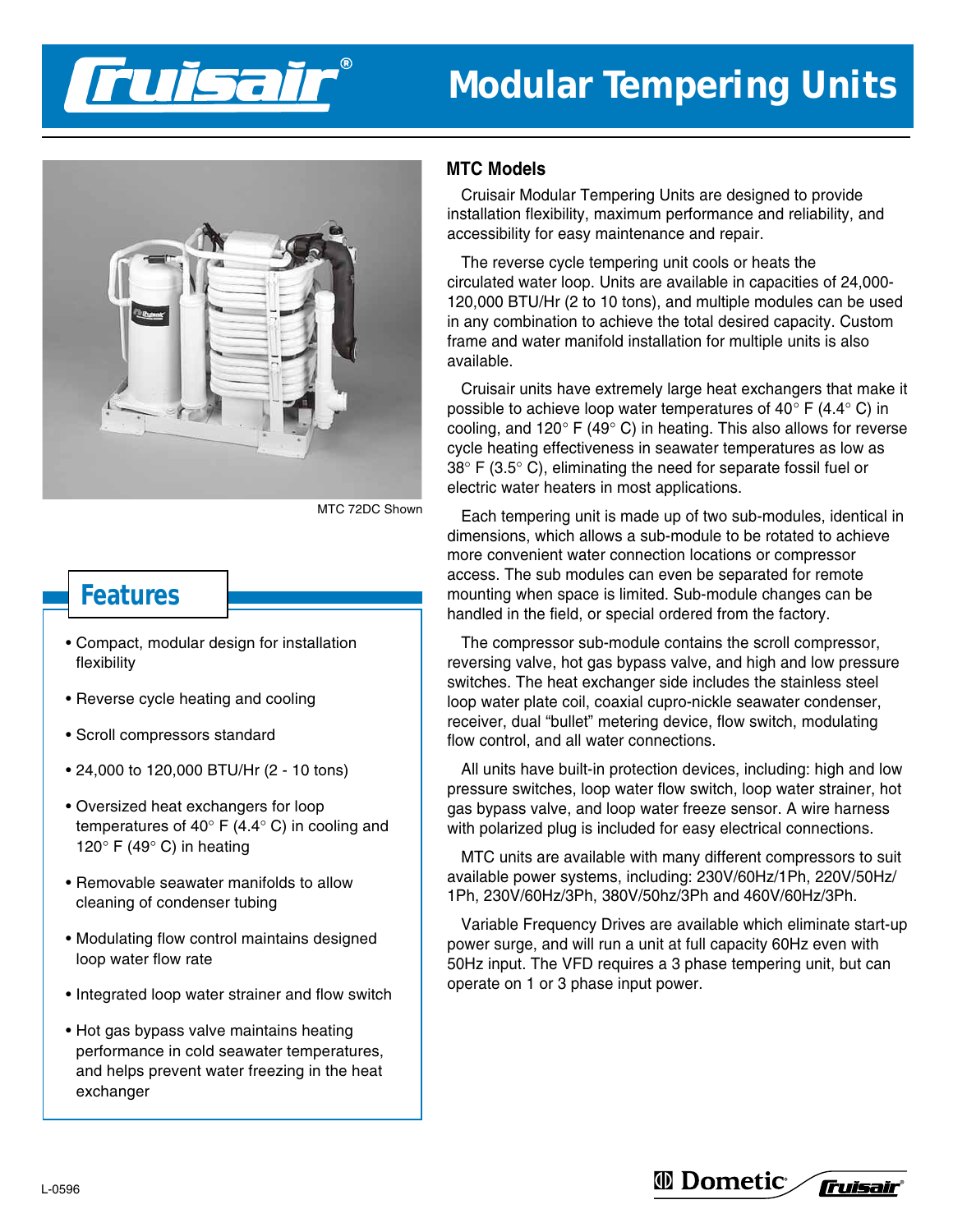

## **Modular Tempering Units**



MTC 72DC Shown

## **Features**

- Compact, modular design for installation flexibility
- Reverse cycle heating and cooling
- Scroll compressors standard
- 24,000 to 120,000 BTU/Hr (2 10 tons)
- Oversized heat exchangers for loop temperatures of 40° F (4.4° C) in cooling and 120 $\degree$  F (49 $\degree$  C) in heating
- Removable seawater manifolds to allow cleaning of condenser tubing
- Modulating flow control maintains designed loop water flow rate
- Integrated loop water strainer and flow switch
- Hot gas bypass valve maintains heating performance in cold seawater temperatures, and helps prevent water freezing in the heat exchanger

## **MTC Models**

Cruisair Modular Tempering Units are designed to provide installation flexibility, maximum performance and reliability, and accessibility for easy maintenance and repair.

The reverse cycle tempering unit cools or heats the circulated water loop. Units are available in capacities of 24,000- 120,000 BTU/Hr (2 to 10 tons), and multiple modules can be used in any combination to achieve the total desired capacity. Custom frame and water manifold installation for multiple units is also available.

Cruisair units have extremely large heat exchangers that make it possible to achieve loop water temperatures of  $40^{\circ}$  F (4.4 $^{\circ}$  C) in cooling, and  $120^{\circ}$  F (49° C) in heating. This also allows for reverse cycle heating effectiveness in seawater temperatures as low as  $38^{\circ}$  F (3.5 $^{\circ}$  C), eliminating the need for separate fossil fuel or electric water heaters in most applications.

Each tempering unit is made up of two sub-modules, identical in dimensions, which allows a sub-module to be rotated to achieve more convenient water connection locations or compressor access. The sub modules can even be separated for remote mounting when space is limited. Sub-module changes can be handled in the field, or special ordered from the factory.

The compressor sub-module contains the scroll compressor, reversing valve, hot gas bypass valve, and high and low pressure switches. The heat exchanger side includes the stainless steel loop water plate coil, coaxial cupro-nickle seawater condenser, receiver, dual "bullet" metering device, flow switch, modulating flow control, and all water connections.

All units have built-in protection devices, including: high and low pressure switches, loop water flow switch, loop water strainer, hot gas bypass valve, and loop water freeze sensor. A wire harness with polarized plug is included for easy electrical connections.

MTC units are available with many different compressors to suit available power systems, including: 230V/60Hz/1Ph, 220V/50Hz/ 1Ph, 230V/60Hz/3Ph, 380V/50hz/3Ph and 460V/60Hz/3Ph.

Variable Frequency Drives are available which eliminate start-up power surge, and will run a unit at full capacity 60Hz even with 50Hz input. The VFD requires a 3 phase tempering unit, but can operate on 1 or 3 phase input power.